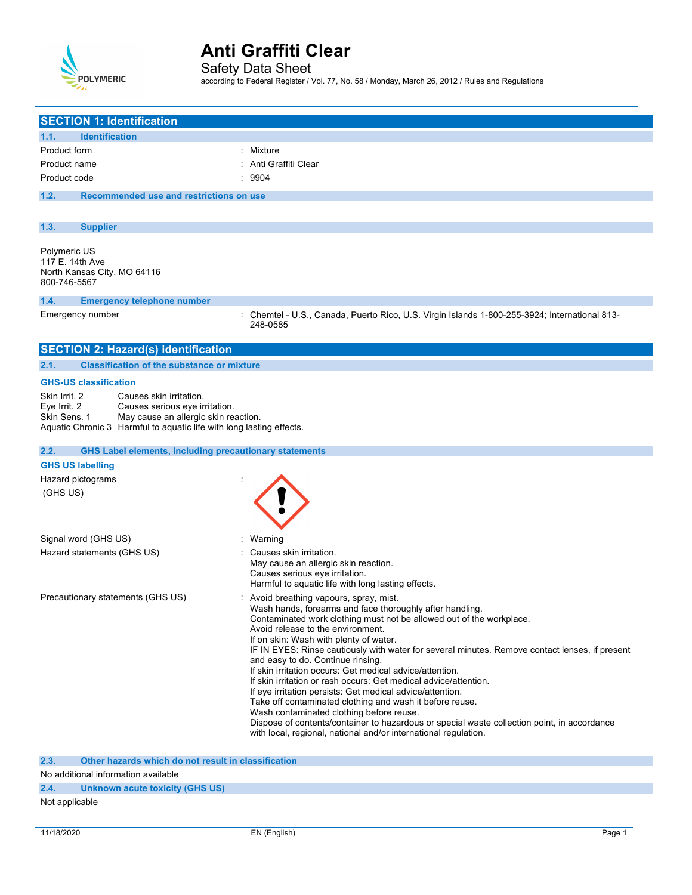

Safety Data Sheet

according to Federal Register / Vol. 77, No. 58 / Monday, March 26, 2012 / Rules and Regulations

| <b>SECTION 1: Identification</b>                                                                                                                                                                                           |                                                                                                                                                                                                                                                                                                                                                                                                                                                                                                                                                                                                                                                                                                                                                                                                                                                                        |
|----------------------------------------------------------------------------------------------------------------------------------------------------------------------------------------------------------------------------|------------------------------------------------------------------------------------------------------------------------------------------------------------------------------------------------------------------------------------------------------------------------------------------------------------------------------------------------------------------------------------------------------------------------------------------------------------------------------------------------------------------------------------------------------------------------------------------------------------------------------------------------------------------------------------------------------------------------------------------------------------------------------------------------------------------------------------------------------------------------|
| 1.1.<br><b>Identification</b>                                                                                                                                                                                              |                                                                                                                                                                                                                                                                                                                                                                                                                                                                                                                                                                                                                                                                                                                                                                                                                                                                        |
| Product form                                                                                                                                                                                                               | : Mixture                                                                                                                                                                                                                                                                                                                                                                                                                                                                                                                                                                                                                                                                                                                                                                                                                                                              |
| Product name                                                                                                                                                                                                               | Anti Graffiti Clear                                                                                                                                                                                                                                                                                                                                                                                                                                                                                                                                                                                                                                                                                                                                                                                                                                                    |
| Product code                                                                                                                                                                                                               | : 9904                                                                                                                                                                                                                                                                                                                                                                                                                                                                                                                                                                                                                                                                                                                                                                                                                                                                 |
| 1.2.<br>Recommended use and restrictions on use                                                                                                                                                                            |                                                                                                                                                                                                                                                                                                                                                                                                                                                                                                                                                                                                                                                                                                                                                                                                                                                                        |
|                                                                                                                                                                                                                            |                                                                                                                                                                                                                                                                                                                                                                                                                                                                                                                                                                                                                                                                                                                                                                                                                                                                        |
|                                                                                                                                                                                                                            |                                                                                                                                                                                                                                                                                                                                                                                                                                                                                                                                                                                                                                                                                                                                                                                                                                                                        |
| 1.3.<br><b>Supplier</b>                                                                                                                                                                                                    |                                                                                                                                                                                                                                                                                                                                                                                                                                                                                                                                                                                                                                                                                                                                                                                                                                                                        |
| Polymeric US<br>117 E. 14th Ave<br>North Kansas City, MO 64116<br>800-746-5567                                                                                                                                             |                                                                                                                                                                                                                                                                                                                                                                                                                                                                                                                                                                                                                                                                                                                                                                                                                                                                        |
| 1.4.<br><b>Emergency telephone number</b>                                                                                                                                                                                  |                                                                                                                                                                                                                                                                                                                                                                                                                                                                                                                                                                                                                                                                                                                                                                                                                                                                        |
| Emergency number                                                                                                                                                                                                           | : Chemtel - U.S., Canada, Puerto Rico, U.S. Virgin Islands 1-800-255-3924; International 813-<br>248-0585                                                                                                                                                                                                                                                                                                                                                                                                                                                                                                                                                                                                                                                                                                                                                              |
| <b>SECTION 2: Hazard(s) identification</b>                                                                                                                                                                                 |                                                                                                                                                                                                                                                                                                                                                                                                                                                                                                                                                                                                                                                                                                                                                                                                                                                                        |
| <b>Classification of the substance or mixture</b><br>2.1.                                                                                                                                                                  |                                                                                                                                                                                                                                                                                                                                                                                                                                                                                                                                                                                                                                                                                                                                                                                                                                                                        |
| <b>GHS-US classification</b>                                                                                                                                                                                               |                                                                                                                                                                                                                                                                                                                                                                                                                                                                                                                                                                                                                                                                                                                                                                                                                                                                        |
| Skin Irrit. 2<br>Causes skin irritation.<br>Eye Irrit. 2<br>Causes serious eye irritation.<br>Skin Sens. 1<br>May cause an allergic skin reaction.<br>Aquatic Chronic 3 Harmful to aquatic life with long lasting effects. |                                                                                                                                                                                                                                                                                                                                                                                                                                                                                                                                                                                                                                                                                                                                                                                                                                                                        |
| 2.2.<br><b>GHS Label elements, including precautionary statements</b>                                                                                                                                                      |                                                                                                                                                                                                                                                                                                                                                                                                                                                                                                                                                                                                                                                                                                                                                                                                                                                                        |
| <b>GHS US labelling</b>                                                                                                                                                                                                    |                                                                                                                                                                                                                                                                                                                                                                                                                                                                                                                                                                                                                                                                                                                                                                                                                                                                        |
| Hazard pictograms                                                                                                                                                                                                          |                                                                                                                                                                                                                                                                                                                                                                                                                                                                                                                                                                                                                                                                                                                                                                                                                                                                        |
| (GHS US)                                                                                                                                                                                                                   |                                                                                                                                                                                                                                                                                                                                                                                                                                                                                                                                                                                                                                                                                                                                                                                                                                                                        |
| Signal word (GHS US)                                                                                                                                                                                                       | Warning                                                                                                                                                                                                                                                                                                                                                                                                                                                                                                                                                                                                                                                                                                                                                                                                                                                                |
| Hazard statements (GHS US)                                                                                                                                                                                                 | Causes skin irritation.<br>May cause an allergic skin reaction.<br>Causes serious eye irritation.<br>Harmful to aquatic life with long lasting effects.                                                                                                                                                                                                                                                                                                                                                                                                                                                                                                                                                                                                                                                                                                                |
| Precautionary statements (GHS US)                                                                                                                                                                                          | Avoid breathing vapours, spray, mist.<br>Wash hands, forearms and face thoroughly after handling.<br>Contaminated work clothing must not be allowed out of the workplace.<br>Avoid release to the environment.<br>If on skin: Wash with plenty of water.<br>IF IN EYES: Rinse cautiously with water for several minutes. Remove contact lenses, if present<br>and easy to do. Continue rinsing.<br>If skin irritation occurs: Get medical advice/attention.<br>If skin irritation or rash occurs: Get medical advice/attention.<br>If eye irritation persists: Get medical advice/attention.<br>Take off contaminated clothing and wash it before reuse.<br>Wash contaminated clothing before reuse.<br>Dispose of contents/container to hazardous or special waste collection point, in accordance<br>with local, regional, national and/or international regulation. |

**2.3. Other hazards which do not result in classification**

### No additional information available

## **2.4. Unknown acute toxicity (GHS US)**

### Not applicable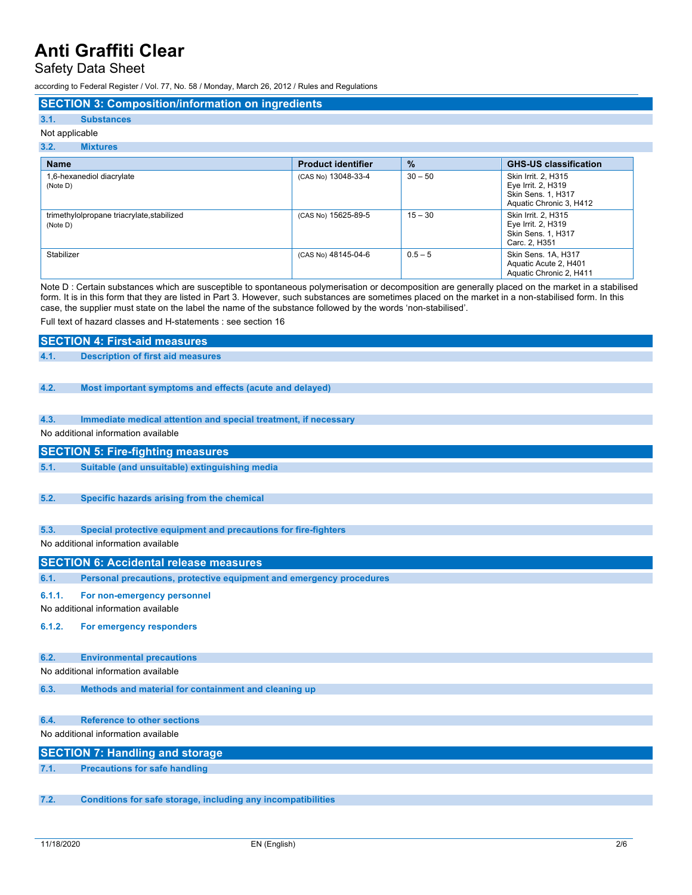Safety Data Sheet

according to Federal Register / Vol. 77, No. 58 / Monday, March 26, 2012 / Rules and Regulations

### **SECTION 3: Composition/information on ingredients**

### **3.1. Substances** Not applicable

# **3.2. Mixtures**

| <b>Name</b>                                            | <b>Product identifier</b> | $\%$      | <b>GHS-US classification</b>                                                                      |
|--------------------------------------------------------|---------------------------|-----------|---------------------------------------------------------------------------------------------------|
| 1,6-hexanediol diacrylate<br>(Note D)                  | (CAS No) 13048-33-4       | $30 - 50$ | Skin Irrit. 2, H315<br>Eye Irrit. 2, H319<br><b>Skin Sens. 1, H317</b><br>Aquatic Chronic 3, H412 |
| trimethylolpropane triacrylate, stabilized<br>(Note D) | (CAS No) 15625-89-5       | $15 - 30$ | Skin Irrit. 2. H315<br>Eye Irrit. 2, H319<br><b>Skin Sens. 1, H317</b><br>Carc. 2, H351           |
| Stabilizer                                             | (CAS No) 48145-04-6       | $0.5 - 5$ | Skin Sens. 1A, H317<br>Aquatic Acute 2, H401<br>Aquatic Chronic 2, H411                           |

Note D : Certain substances which are susceptible to spontaneous polymerisation or decomposition are generally placed on the market in a stabilised form. It is in this form that they are listed in Part 3. However, such substances are sometimes placed on the market in a non-stabilised form. In this case, the supplier must state on the label the name of the substance followed by the words 'non-stabilised'.

Full text of hazard classes and H-statements : see section 16

## **SECTION 4: First-aid measures 4.1. Description of first aid measures**

### **4.2. Most important symptoms and effects (acute and delayed)**

### **4.3. Immediate medical attention and special treatment, if necessary**

No additional information available

### **SECTION 5: Fire-fighting measures**

- **5.1. Suitable (and unsuitable) extinguishing media**
- **5.2. Specific hazards arising from the chemical**
- **5.3. Special protective equipment and precautions for fire-fighters**

### No additional information available

### **SECTION 6: Accidental release measures**

- **6.1. Personal precautions, protective equipment and emergency procedures**
- **6.1.1. For non-emergency personnel**

No additional information available

**6.1.2. For emergency responders**

### **6.2. Environmental precautions**

No additional information available

**6.3. Methods and material for containment and cleaning up**

## **6.4. Reference to other sections**

No additional information available

| <b>SECTION 7: Handling and storage</b> |
|----------------------------------------|
| <b>Precautions for safe handling</b>   |

**7.2. Conditions for safe storage, including any incompatibilities**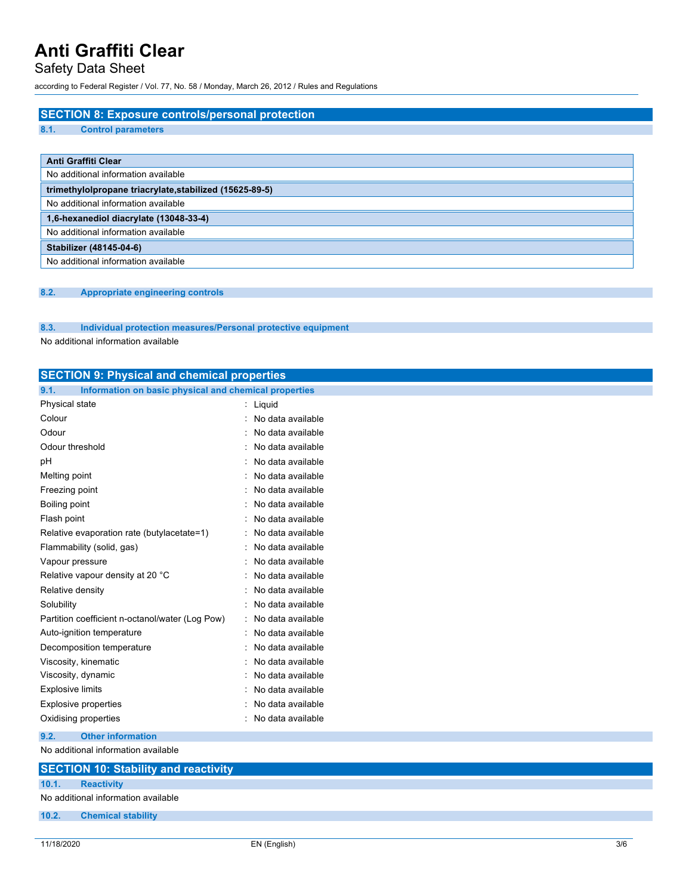# Safety Data Sheet

according to Federal Register / Vol. 77, No. 58 / Monday, March 26, 2012 / Rules and Regulations

# **SECTION 8: Exposure controls/personal protection 8.1. Control parameters Anti Graffiti Clear** No additional information available **trimethylolpropane triacrylate,stabilized (15625-89-5)** No additional information available **1,6-hexanediol diacrylate (13048-33-4)** No additional information available **Stabilizer (48145-04-6)** No additional information available

### **8.2. Appropriate engineering controls**

### **8.3. Individual protection measures/Personal protective equipment**

No additional information available

| <b>SECTION 9: Physical and chemical properties</b>            |                     |
|---------------------------------------------------------------|---------------------|
| 9.1.<br>Information on basic physical and chemical properties |                     |
| Physical state                                                | : Liquid            |
| Colour                                                        | No data available   |
| Odour                                                         | No data available   |
| Odour threshold                                               | No data available   |
| рH                                                            | No data available   |
| Melting point                                                 | No data available   |
| Freezing point                                                | No data available   |
| Boiling point                                                 | No data available   |
| Flash point                                                   | No data available   |
| Relative evaporation rate (butylacetate=1)                    | : No data available |
| Flammability (solid, gas)                                     | No data available   |
| Vapour pressure                                               | No data available   |
| Relative vapour density at 20 °C                              | No data available   |
| Relative density                                              | No data available   |
| Solubility                                                    | No data available   |
| Partition coefficient n-octanol/water (Log Pow)               | No data available   |
| Auto-ignition temperature                                     | No data available   |
| Decomposition temperature                                     | No data available   |
| Viscosity, kinematic                                          | No data available   |
| Viscosity, dynamic                                            | No data available   |
| <b>Explosive limits</b>                                       | No data available   |
| <b>Explosive properties</b>                                   | No data available   |
| Oxidising properties                                          | : No data available |
| 9.2.<br><b>Other information</b>                              |                     |
|                                                               |                     |

No additional information available

# **SECTION 10: Stability and reactivity 10.1. Reactivity** No additional information available **10.2. Chemical stability**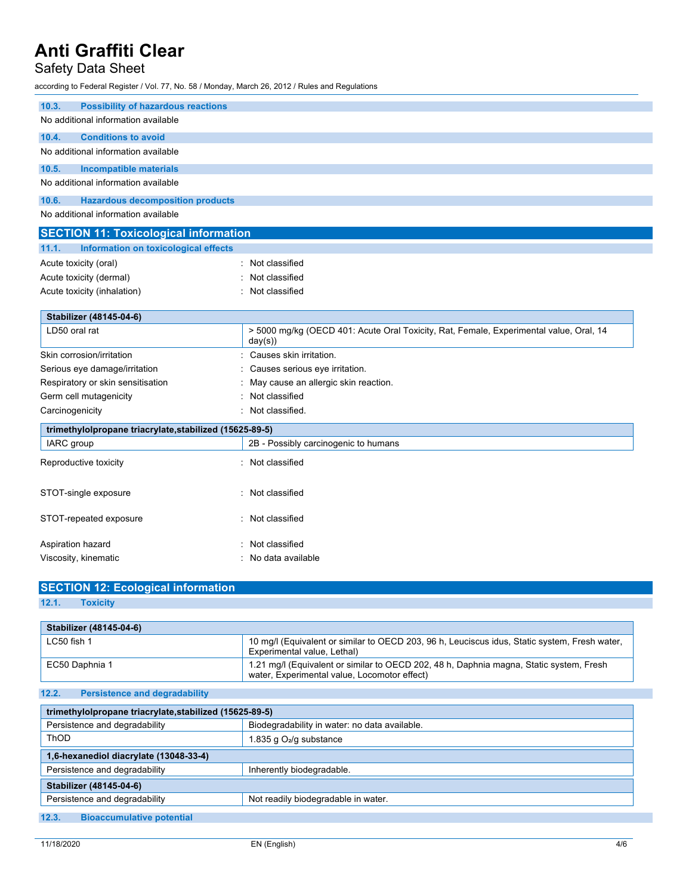# Safety Data Sheet

according to Federal Register / Vol. 77, No. 58 / Monday, March 26, 2012 / Rules and Regulations

| 10.3.<br><b>Possibility of hazardous reactions</b>      |                                                                                                   |
|---------------------------------------------------------|---------------------------------------------------------------------------------------------------|
| No additional information available                     |                                                                                                   |
| 10.4.<br><b>Conditions to avoid</b>                     |                                                                                                   |
| No additional information available                     |                                                                                                   |
| 10.5.<br><b>Incompatible materials</b>                  |                                                                                                   |
| No additional information available                     |                                                                                                   |
| 10.6.<br><b>Hazardous decomposition products</b>        |                                                                                                   |
| No additional information available                     |                                                                                                   |
| <b>SECTION 11: Toxicological information</b>            |                                                                                                   |
| Information on toxicological effects<br>11.1.           |                                                                                                   |
| Acute toxicity (oral)                                   | : Not classified                                                                                  |
| Acute toxicity (dermal)                                 | Not classified                                                                                    |
| Acute toxicity (inhalation)                             | : Not classified                                                                                  |
|                                                         |                                                                                                   |
| Stabilizer (48145-04-6)                                 |                                                                                                   |
| LD50 oral rat                                           | > 5000 mg/kg (OECD 401: Acute Oral Toxicity, Rat, Female, Experimental value, Oral, 14<br>day(s)) |
| Skin corrosion/irritation                               | Causes skin irritation.                                                                           |
| Serious eye damage/irritation                           | Causes serious eye irritation.                                                                    |
| Respiratory or skin sensitisation                       | May cause an allergic skin reaction.                                                              |
| Germ cell mutagenicity                                  | : Not classified                                                                                  |
| Carcinogenicity                                         | : Not classified.                                                                                 |
| trimethylolpropane triacrylate, stabilized (15625-89-5) |                                                                                                   |
| IARC group                                              | 2B - Possibly carcinogenic to humans                                                              |
| Reproductive toxicity                                   | : Not classified                                                                                  |
|                                                         |                                                                                                   |
| STOT-single exposure                                    | : Not classified                                                                                  |
|                                                         |                                                                                                   |
| STOT-repeated exposure                                  | : Not classified                                                                                  |
|                                                         |                                                                                                   |
| Aspiration hazard                                       | : Not classified                                                                                  |
| Viscosity, kinematic                                    | No data available                                                                                 |

**SECTION 12: Ecological information 12.1. Toxicity**

| Stabilizer (48145-04-6) |                                                                                                                                         |
|-------------------------|-----------------------------------------------------------------------------------------------------------------------------------------|
| $LC50$ fish 1           | 10 mg/l (Equivalent or similar to OECD 203, 96 h, Leuciscus idus, Static system, Fresh water,<br>Experimental value, Lethal)            |
| EC50 Daphnia 1          | 1.21 mg/l (Equivalent or similar to OECD 202, 48 h, Daphnia magna, Static system, Fresh<br>water, Experimental value, Locomotor effect) |

**12.2. Persistence and degradability**

| trimethylolpropane triacrylate, stabilized (15625-89-5) |                                               |  |
|---------------------------------------------------------|-----------------------------------------------|--|
| Persistence and degradability                           | Biodegradability in water: no data available. |  |
| ThOD                                                    | 1.835 g O <sub>2</sub> /g substance           |  |
| 1,6-hexanediol diacrylate (13048-33-4)                  |                                               |  |
| Persistence and degradability                           | Inherently biodegradable.                     |  |
| Stabilizer (48145-04-6)                                 |                                               |  |
| Persistence and degradability                           | Not readily biodegradable in water.           |  |
| 12.3.<br><b>Bioaccumulative potential</b>               |                                               |  |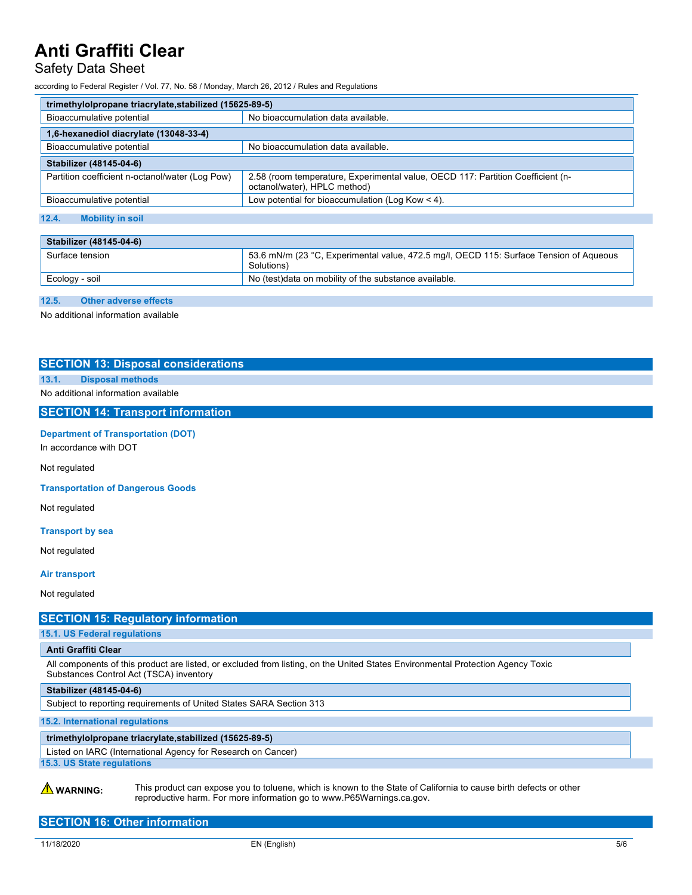# Safety Data Sheet

according to Federal Register / Vol. 77, No. 58 / Monday, March 26, 2012 / Rules and Regulations

| trimethylolpropane triacrylate, stabilized (15625-89-5) |                                                                                                                 |  |
|---------------------------------------------------------|-----------------------------------------------------------------------------------------------------------------|--|
| Bioaccumulative potential                               | No bioaccumulation data available.                                                                              |  |
| 1,6-hexanediol diacrylate (13048-33-4)                  |                                                                                                                 |  |
| Bioaccumulative potential                               | No bioaccumulation data available.                                                                              |  |
| Stabilizer (48145-04-6)                                 |                                                                                                                 |  |
| Partition coefficient n-octanol/water (Log Pow)         | 2.58 (room temperature, Experimental value, OECD 117: Partition Coefficient (n-<br>octanol/water), HPLC method) |  |
| Bioaccumulative potential                               | Low potential for bioaccumulation (Log Kow $<$ 4).                                                              |  |

### **12.4. Mobility in soil**

| Stabilizer (48145-04-6) |                                                                                                      |
|-------------------------|------------------------------------------------------------------------------------------------------|
| Surface tension         | 53.6 mN/m (23 °C, Experimental value, 472.5 mg/l, OECD 115: Surface Tension of Aqueous<br>Solutions) |
| Ecology - soil          | No (test) data on mobility of the substance available.                                               |
|                         |                                                                                                      |

### **12.5. Other adverse effects**

No additional information available

### **SECTION 13: Disposal considerations**

## **13.1. Disposal methods**

No additional information available

### **SECTION 14: Transport information**

### **Department of Transportation (DOT)**

In accordance with DOT

Not regulated

**Transportation of Dangerous Goods**

Not regulated

#### **Transport by sea**

Not regulated

#### **Air transport**

Not regulated

## **SECTION 15: Regulatory information**

**15.1. US Federal regulations**

#### **Anti Graffiti Clear**

All components of this product are listed, or excluded from listing, on the United States Environmental Protection Agency Toxic Substances Control Act (TSCA) inventory

**Stabilizer (48145-04-6)**

Subject to reporting requirements of United States SARA Section 313

**15.2. International regulations**

### **trimethylolpropane triacrylate,stabilized (15625-89-5)**

Listed on IARC (International Agency for Research on Cancer) **15.3. US State regulations**

**A** WARNING: This product can expose you to toluene, which is known to the State of California to cause birth defects or other reproductive harm. For more information go to www.P65Warnings.ca.gov.

## **SECTION 16: Other information**